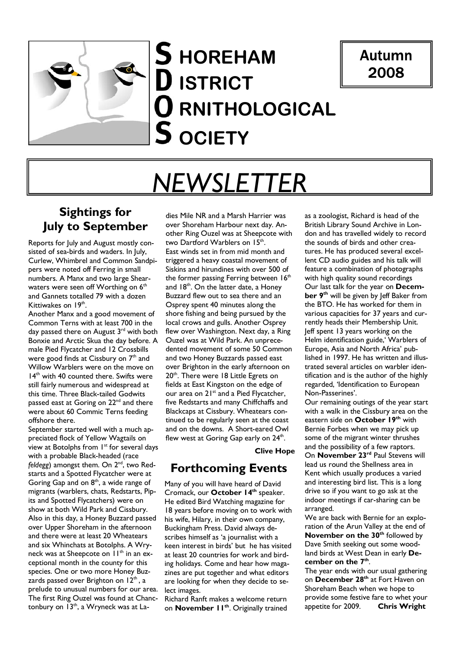## **HOREHAM ISTRICT O** RNITHOLOGICAL **OCIETY**

## Autumn 2008

# *NEWSLETTER*

## **Sightings for July to September**

Reports for July and August mostly consisted of sea-birds and waders. In July, Curlew, Whimbrel and Common Sandpipers were noted off Ferring in small numbers. A Manx and two large Shearwaters were seen off Worthing on  $6<sup>th</sup>$ and Gannets totalled 79 with a dozen Kittiwakes on  $19<sup>th</sup>$ .

Another Manx and a good movement of Common Terns with at least 700 in the day passed there on August 3<sup>rd</sup> with both Bonxie and Arctic Skua the day before. A male Pied Flycatcher and 12 Crossbills were good finds at Cissbury on 7<sup>th</sup> and Willow Warblers were on the move on 14<sup>th</sup> with 40 counted there. Swifts were still fairly numerous and widespread at this time. Three Black-tailed Godwits passed east at Goring on 22<sup>nd</sup> and there were about 60 Commic Terns feeding offshore there.

September started well with a much appreciated flock of Yellow Wagtails on view at Botolphs from 1<sup>st</sup> for several days with a probable Black-headed (race *feldegg*) amongst them. On 2<sup>nd</sup>, two Redstarts and a Spotted Flycatcher were at Goring Gap and on  $8<sup>th</sup>$ , a wide range of migrants (warblers, chats, Redstarts, Pipits and Spotted Flycatchers) were on show at both Wild Park and Cissbury. Also in this day, a Honey Buzzard passed over Upper Shoreham in the afternoon and there were at least 20 Wheatears and six Whinchats at Botolphs. A Wryneck was at Sheepcote on 11<sup>th</sup> in an exceptional month in the county for this species. One or two more Honey Buzzards passed over Brighton on  $12<sup>th</sup>$ , a prelude to unusual numbers for our area. The first Ring Ouzel was found at Chanctonbury on 13<sup>th</sup>, a Wryneck was at Ladies Mile NR and a Marsh Harrier was over Shoreham Harbour next day. Another Ring Ouzel was at Sheepcote with two Dartford Warblers on 15<sup>th</sup>. East winds set in from mid month and triggered a heavy coastal movement of Siskins and hirundines with over 500 of the former passing Ferring between  $16<sup>th</sup>$ and  $18<sup>th</sup>$ . On the latter date, a Honey Buzzard flew out to sea there and an Osprey spent 40 minutes along the shore fishing and being pursued by the local crows and gulls. Another Osprey flew over Washington. Next day, a Ring Ouzel was at Wild Park. An unprecedented movement of some 50 Common and two Honey Buzzards passed east over Brighton in the early afternoon on 20<sup>th</sup>. There were 18 Little Egrets on fields at East Kingston on the edge of our area on 21<sup>st</sup> and a Pied Flycatcher, five Redstarts and many Chiffchaffs and Blackcaps at Cissbury. Wheatears continued to be regularly seen at the coast and on the downs. A Short-eared Owl flew west at Goring Gap early on  $24<sup>th</sup>$ .

**Clive Hope** 

## **Forthcoming Events**

Many of you will have heard of David Cromack, our **October 14th** speaker. He edited Bird Watching magazine for 18 years before moving on to work with his wife, Hilary, in their own company, Buckingham Press. David always describes himself as 'a journalist with a keen interest in birds' but he has visited at least 20 countries for work and birding holidays. Come and hear how magazines are put together and what editors are looking for when they decide to select images.

Richard Ranft makes a welcome return on **November 11th**. Originally trained

as a zoologist, Richard is head of the British Library Sound Archive in London and has travelled widely to record the sounds of birds and other creatures. He has produced several excellent CD audio guides and his talk will feature a combination of photographs with high quality sound recordings Our last talk for the year on **Decem**ber 9<sup>th</sup> will be given by Jeff Baker from the BTO. He has worked for them in various capacities for 37 years and currently heads their Membership Unit. Jeff spent 13 years working on the Helm identification guide,' Warblers of Europe, Asia and North Africa' published in 1997. He has written and illustrated several articles on warbler identification and is the author of the highly regarded, 'Identification to European Non-Passerines'.

Our remaining outings of the year start with a walk in the Cissbury area on the eastern side on **October 19th** with Bernie Forbes when we may pick up some of the migrant winter thrushes and the possibility of a few raptors.

On **November 23rd** Paul Stevens will lead us round the Shellness area in Kent which usually produces a varied and interesting bird list. This is a long drive so if you want to go ask at the indoor meetings if car-sharing can be arranged.

We are back with Bernie for an exploration of the Arun Valley at the end of **November on the 30<sup>th</sup> followed by** Dave Smith seeking out some woodland birds at West Dean in early **De**cember on the 7<sup>th</sup>.

The year ends with our usual gathering on **December 28th** at Fort Haven on Shoreham Beach when we hope to provide some festive fare to whet your appetite for 2009. **Chris Wright**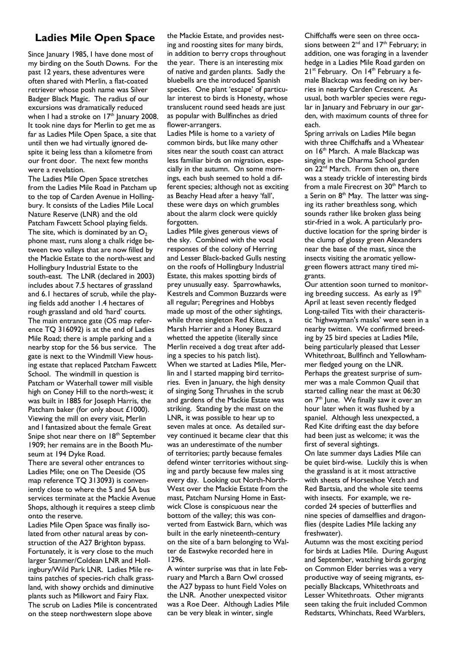## **Ladies Mile Open Space**

Since January 1985, I have done most of my birding on the South Downs. For the past 12 years, these adventures were often shared with Merlin, a flat-coated retriever whose posh name was Silver Badger Black Magic. The radius of our excursions was dramatically reduced when I had a stroke on  $17<sup>th</sup>$  January 2008. It took nine days for Merlin to get me as far as Ladies Mile Open Space, a site that until then we had virtually ignored despite it being less than a kilometre from our front door. The next few months were a revelation.

The Ladies Mile Open Space stretches from the Ladies Mile Road in Patcham up to the top of Carden Avenue in Hollingbury. It consists of the Ladies Mile Local Nature Reserve (LNR) and the old Patcham Fawcett School playing fields. The site, which is dominated by an  $O<sub>2</sub>$ phone mast, runs along a chalk ridge between two valleys that are now filled by the Mackie Estate to the north-west and Hollingbury Industrial Estate to the south-east. The LNR (declared in 2003) includes about 7.5 hectares of grassland and 6.1 hectares of scrub, while the playing fields add another 1.4 hectares of rough grassland and old 'hard' courts. The main entrance gate (OS map reference TQ 316092) is at the end of Ladies Mile Road; there is ample parking and a nearby stop for the 56 bus service. The gate is next to the Windmill View housing estate that replaced Patcham Fawcett School. The windmill in question is Patcham or Waterhall tower mill visible high on Coney Hill to the north-west; it was built in 1885 for Joseph Harris, the Patcham baker (for only about £1000). Viewing the mill on every visit, Merlin and I fantasized about the female Great Snipe shot near there on 18<sup>th</sup> September 1909; her remains are in the Booth Museum at 194 Dyke Road.

There are several other entrances to Ladies Mile; one on The Deeside (OS map reference TQ 313093) is conveniently close to where the 5 and 5A bus services terminate at the Mackie Avenue Shops, although it requires a steep climb onto the reserve.

Ladies Mile Open Space was finally isolated from other natural areas by construction of the A27 Brighton bypass. Fortunately, it is very close to the much larger Stanmer/Coldean LNR and Hollingbury/Wild Park LNR. Ladies Mile retains patches of species-rich chalk grassland, with showy orchids and diminutive plants such as Milkwort and Fairy Flax. The scrub on Ladies Mile is concentrated on the steep northwestern slope above

the Mackie Estate, and provides nesting and roosting sites for many birds, in addition to berry crops throughout the year. There is an interesting mix of native and garden plants. Sadly the bluebells are the introduced Spanish species. One plant 'escape' of particular interest to birds is Honesty, whose translucent round seed heads are just as popular with Bullfinches as dried flower-arrangers.

Ladies Mile is home to a variety of common birds, but like many other sites near the south coast can attract less familiar birds on migration, especially in the autumn. On some mornings, each bush seemed to hold a different species; although not as exciting as Beachy Head after a heavy 'fall', these were days on which grumbles about the alarm clock were quickly forgotten.

Ladies Mile gives generous views of the sky. Combined with the vocal responses of the colony of Herring and Lesser Black-backed Gulls nesting on the roofs of Hollingbury Industrial Estate, this makes spotting birds of prey unusually easy. Sparrowhawks, Kestrels and Common Buzzards were all regular; Peregrines and Hobbys made up most of the other sightings, while three singleton Red Kites, a Marsh Harrier and a Honey Buzzard whetted the appetite (literally since Merlin received a dog treat after adding a species to his patch list). When we started at Ladies Mile, Merlin and I started mapping bird territories. Even in January, the high density of singing Song Thrushes in the scrub and gardens of the Mackie Estate was striking. Standing by the mast on the LNR, it was possible to hear up to seven males at once. As detailed survey continued it became clear that this was an underestimate of the number of territories; partly because females defend winter territories without singing and partly because few males sing every day. Looking out North-North-West over the Mackie Estate from the mast, Patcham Nursing Home in Eastwick Close is conspicuous near the bottom of the valley; this was converted from Eastwick Barn, which was built in the early nineteenth-century on the site of a barn belonging to Walter de Eastwyke recorded here in 1296.

A winter surprise was that in late February and March a Barn Owl crossed the A27 bypass to hunt Field Voles on the LNR. Another unexpected visitor was a Roe Deer. Although Ladies Mile can be very bleak in winter, single

Chiffchaffs were seen on three occasions between  $2^{nd}$  and  $17^{th}$  February; in addition, one was foraging in a lavender hedge in a Ladies Mile Road garden on 21<sup>st</sup> February. On 14<sup>th</sup> February a female Blackcap was feeding on ivy berries in nearby Carden Crescent. As usual, both warbler species were regular in January and February in our garden, with maximum counts of three for each.

Spring arrivals on Ladies Mile began with three Chiffchaffs and a Wheatear on 16<sup>th</sup> March. A male Blackcap was singing in the Dharma School garden on 22<sup>nd</sup> March. From then on, there was a steady trickle of interesting birds from a male Firecrest on 30<sup>th</sup> March to a Serin on  $8<sup>th</sup>$  May. The latter was singing its rather breathless song, which sounds rather like broken glass being stir-fried in a wok. A particularly productive location for the spring birder is the clump of glossy green Alexanders near the base of the mast, since the insects visiting the aromatic yellowgreen flowers attract many tired migrants.

Our attention soon turned to monitoring breeding success. As early as  $19<sup>th</sup>$ April at least seven recently fledged Long-tailed Tits with their characteristic 'highwayman's masks' were seen in a nearby twitten. We confirmed breeding by 25 bird species at Ladies Mile, being particularly pleased that Lesser Whitethroat, Bullfinch and Yellowhammer fledged young on the LNR. Perhaps the greatest surprise of summer was a male Common Quail that started calling near the mast at 06:30 on 7<sup>th</sup> June. We finally saw it over an hour later when it was flushed by a spaniel. Although less unexpected, a Red Kite drifting east the day before had been just as welcome; it was the first of several sightings.

On late summer days Ladies Mile can be quiet bird-wise. Luckily this is when the grassland is at it most attractive with sheets of Horseshoe Vetch and Red Bartsia, and the whole site teems with insects. For example, we recorded 24 species of butterflies and nine species of damselflies and dragonflies (despite Ladies Mile lacking any freshwater).

Autumn was the most exciting period for birds at Ladies Mile. During August and September, watching birds gorging on Common Elder berries was a very productive way of seeing migrants, especially Blackcaps, Whitethroats and Lesser Whitethroats. Other migrants seen taking the fruit included Common Redstarts, Whinchats, Reed Warblers,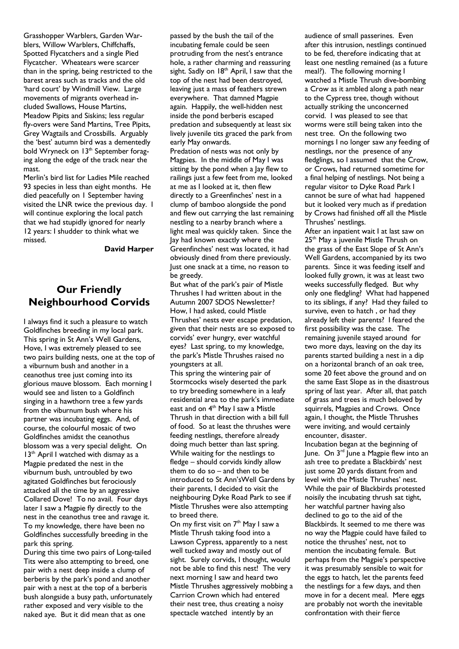Grasshopper Warblers, Garden Warblers, Willow Warblers, Chiffchaffs, Spotted Flycatchers and a single Pied Flycatcher. Wheatears were scarcer than in the spring, being restricted to the barest areas such as tracks and the old 'hard court' by Windmill View. Large movements of migrants overhead included Swallows, House Martins, Meadow Pipits and Siskins; less regular fly-overs were Sand Martins, Tree Pipits, Grey Wagtails and Crossbills. Arguably the 'best' autumn bird was a dementedly bold Wryneck on 13<sup>th</sup> September foraging along the edge of the track near the mast.

Merlin's bird list for Ladies Mile reached 93 species in less than eight months. He died peacefully on 1 September having visited the LNR twice the previous day. I will continue exploring the local patch that we had stupidly ignored for nearly 12 years: I shudder to think what we missed.

#### **David Harper**

## **Our Friendly Neighbourhood Corvids**

I always find it such a pleasure to watch Goldfinches breeding in my local park. This spring in St Ann's Well Gardens, Hove, I was extremely pleased to see two pairs building nests, one at the top of a viburnum bush and another in a ceanothus tree just coming into its glorious mauve blossom. Each morning I would see and listen to a Goldfinch singing in a hawthorn tree a few yards from the viburnum bush where his partner was incubating eggs. And, of course, the colourful mosaic of two Goldfinches amidst the ceanothus blossom was a very special delight. On 13<sup>th</sup> April I watched with dismay as a Magpie predated the nest in the viburnum bush, untroubled by two agitated Goldfinches but ferociously attacked all the time by an aggressive Collared Dove! To no avail. Four days later I saw a Magpie fly directly to the nest in the ceanothus tree and ravage it. To my knowledge, there have been no Goldfinches successfully breeding in the park this spring.

During this time two pairs of Long-tailed Tits were also attempting to breed, one pair with a nest deep inside a clump of berberis by the park's pond and another pair with a nest at the top of a berberis bush alongside a busy path, unfortunately rather exposed and very visible to the naked aye. But it did mean that as one

passed by the bush the tail of the incubating female could be seen protruding from the nest's entrance hole, a rather charming and reassuring sight. Sadly on 18<sup>th</sup> April, I saw that the top of the nest had been destroyed, leaving just a mass of feathers strewn everywhere. That damned Magpie again. Happily, the well-hidden nest inside the pond berberis escaped predation and subsequently at least six lively juvenile tits graced the park from early May onwards.

Predation of nests was not only by Magpies. In the middle of May I was sitting by the pond when a Jay flew to railings just a few feet from me, looked at me as I looked at it, then flew directly to a Greenfinches' nest in a clump of bamboo alongside the pond and flew out carrying the last remaining nestling to a nearby branch where a light meal was quickly taken. Since the Jay had known exactly where the Greenfinches' nest was located, it had obviously dined from there previously. Just one snack at a time, no reason to be greedy.

But what of the park's pair of Mistle Thrushes I had written about in the Autumn 2007 SDOS Newsletter? How, I had asked, could Mistle Thrushes' nests ever escape predation, given that their nests are so exposed to corvids' ever hungry, ever watchful eyes? Last spring, to my knowledge, the park's Mistle Thrushes raised no youngsters at all.

This spring the wintering pair of Stormcocks wisely deserted the park to try breeding somewhere in a leafy residential area to the park's immediate east and on 4<sup>th</sup> May I saw a Mistle Thrush in that direction with a bill full of food. So at least the thrushes were feeding nestlings, therefore already doing much better than last spring. While waiting for the nestlings to  $f$ ledge  $-$  should corvids kindly allow them to do so  $-$  and then to be introduced to St Ann's Well Gardens by their parents, I decided to visit the neighbouring Dyke Road Park to see if Mistle Thrushes were also attempting to breed there.

On my first visit on 7<sup>th</sup> May I saw a Mistle Thrush taking food into a Lawson Cypress, apparently to a nest well tucked away and mostly out of sight. Surely corvids, I thought, would not be able to find this nest! The very next morning I saw and heard two Mistle Thrushes aggressively mobbing a Carrion Crown which had entered their nest tree, thus creating a noisy spectacle watched intently by an

audience of small passerines. Even after this intrusion, nestlings continued to be fed, therefore indicating that at least one nestling remained (as a future meal?). The following morning I watched a Mistle Thrush dive-bombing a Crow as it ambled along a path near to the Cypress tree, though without actually striking the unconcerned corvid. I was pleased to see that worms were still being taken into the nest tree. On the following two mornings I no longer saw any feeding of nestlings, nor the presence of any fledglings, so I assumed that the Crow, or Crows, had returned sometime for a final helping of nestlings. Not being a regular visitor to Dyke Road Park I cannot be sure of what had happened but it looked very much as if predation by Crows had finished off all the Mistle Thrushes' nestlings.

After an inpatient wait I at last saw on 25<sup>th</sup> May a juvenile Mistle Thrush on the grass of the East Slope of St Ann's Well Gardens, accompanied by its two parents. Since it was feeding itself and looked fully grown, it was at least two weeks successfully fledged. But why only one fledgling? What had happened to its siblings, if any? Had they failed to survive, even to hatch , or had they already left their parents? I feared the first possibility was the case. The remaining juvenile stayed around for two more days, leaving on the day its parents started building a nest in a dip on a horizontal branch of an oak tree, some 20 feet above the ground and on the same East Slope as in the disastrous spring of last year. After all, that patch of grass and trees is much beloved by squirrels, Magpies and Crows. Once again, I thought, the Mistle Thrushes were inviting, and would certainly encounter, disaster.

Incubation began at the beginning of June. On 3rd June a Magpie flew into an ash tree to predate a Blackbirds' nest just some 20 yards distant from and level with the Mistle Thrushes' nest. While the pair of Blackbirds protested noisily the incubating thrush sat tight, her watchful partner having also declined to go to the aid of the Blackbirds. It seemed to me there was no way the Magpie could have failed to notice the thrushes' nest, not to mention the incubating female. But perhaps from the Magpie's perspective it was presumably sensible to wait for the eggs to hatch, let the parents feed the nestlings for a few days, and then move in for a decent meal. Mere eggs are probably not worth the inevitable confrontation with their fierce